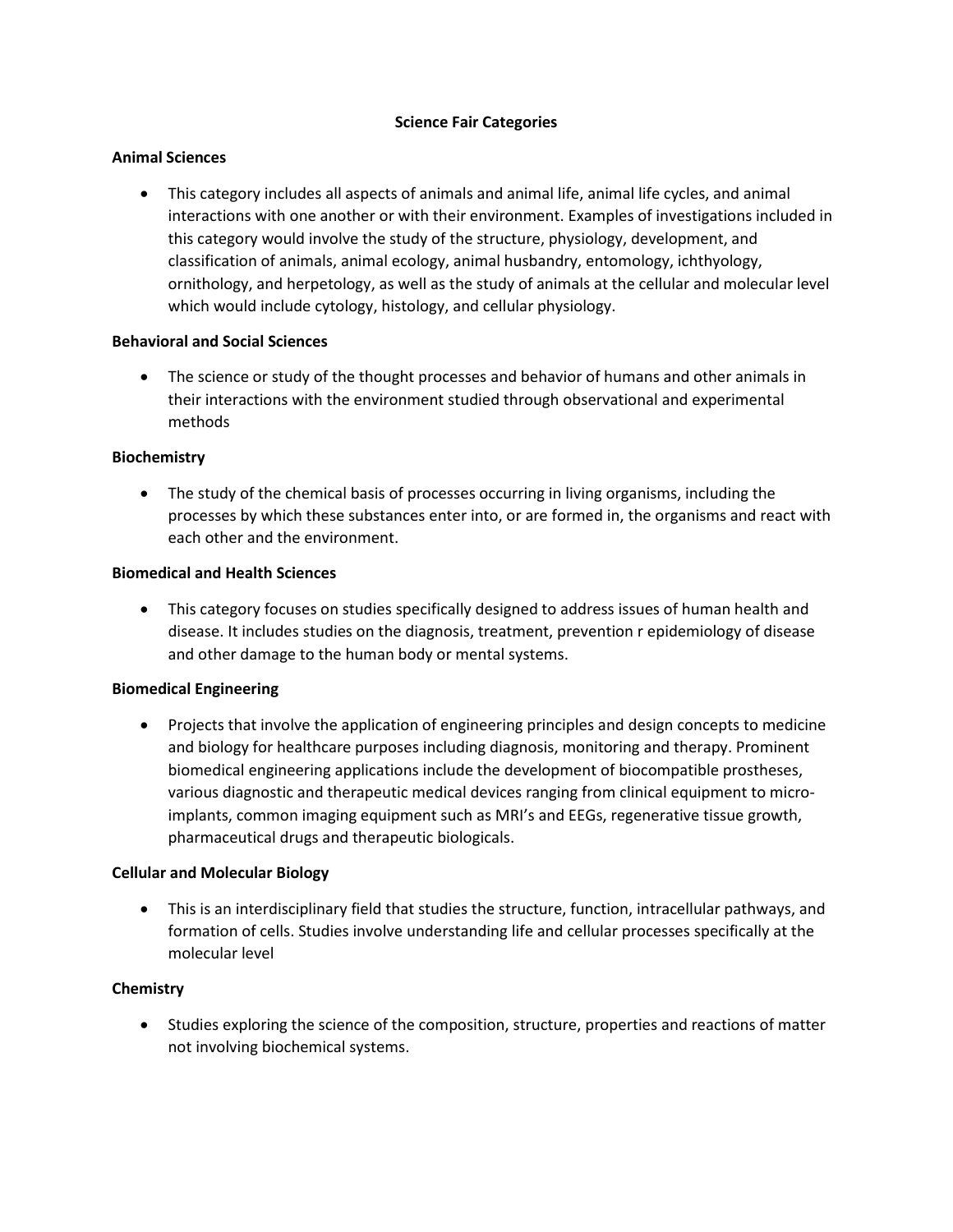#### **Science Fair Categories**

### **Animal Sciences**

 This category includes all aspects of animals and animal life, animal life cycles, and animal interactions with one another or with their environment. Examples of investigations included in this category would involve the study of the structure, physiology, development, and classification of animals, animal ecology, animal husbandry, entomology, ichthyology, ornithology, and herpetology, as well as the study of animals at the cellular and molecular level which would include cytology, histology, and cellular physiology.

### **Behavioral and Social Sciences**

• The science or study of the thought processes and behavior of humans and other animals in their interactions with the environment studied through observational and experimental methods

## **Biochemistry**

• The study of the chemical basis of processes occurring in living organisms, including the processes by which these substances enter into, or are formed in, the organisms and react with each other and the environment.

### **Biomedical and Health Sciences**

 This category focuses on studies specifically designed to address issues of human health and disease. It includes studies on the diagnosis, treatment, prevention r epidemiology of disease and other damage to the human body or mental systems.

### **Biomedical Engineering**

 Projects that involve the application of engineering principles and design concepts to medicine and biology for healthcare purposes including diagnosis, monitoring and therapy. Prominent biomedical engineering applications include the development of biocompatible prostheses, various diagnostic and therapeutic medical devices ranging from clinical equipment to microimplants, common imaging equipment such as MRI's and EEGs, regenerative tissue growth, pharmaceutical drugs and therapeutic biologicals.

### **Cellular and Molecular Biology**

 This is an interdisciplinary field that studies the structure, function, intracellular pathways, and formation of cells. Studies involve understanding life and cellular processes specifically at the molecular level

# **Chemistry**

 Studies exploring the science of the composition, structure, properties and reactions of matter not involving biochemical systems.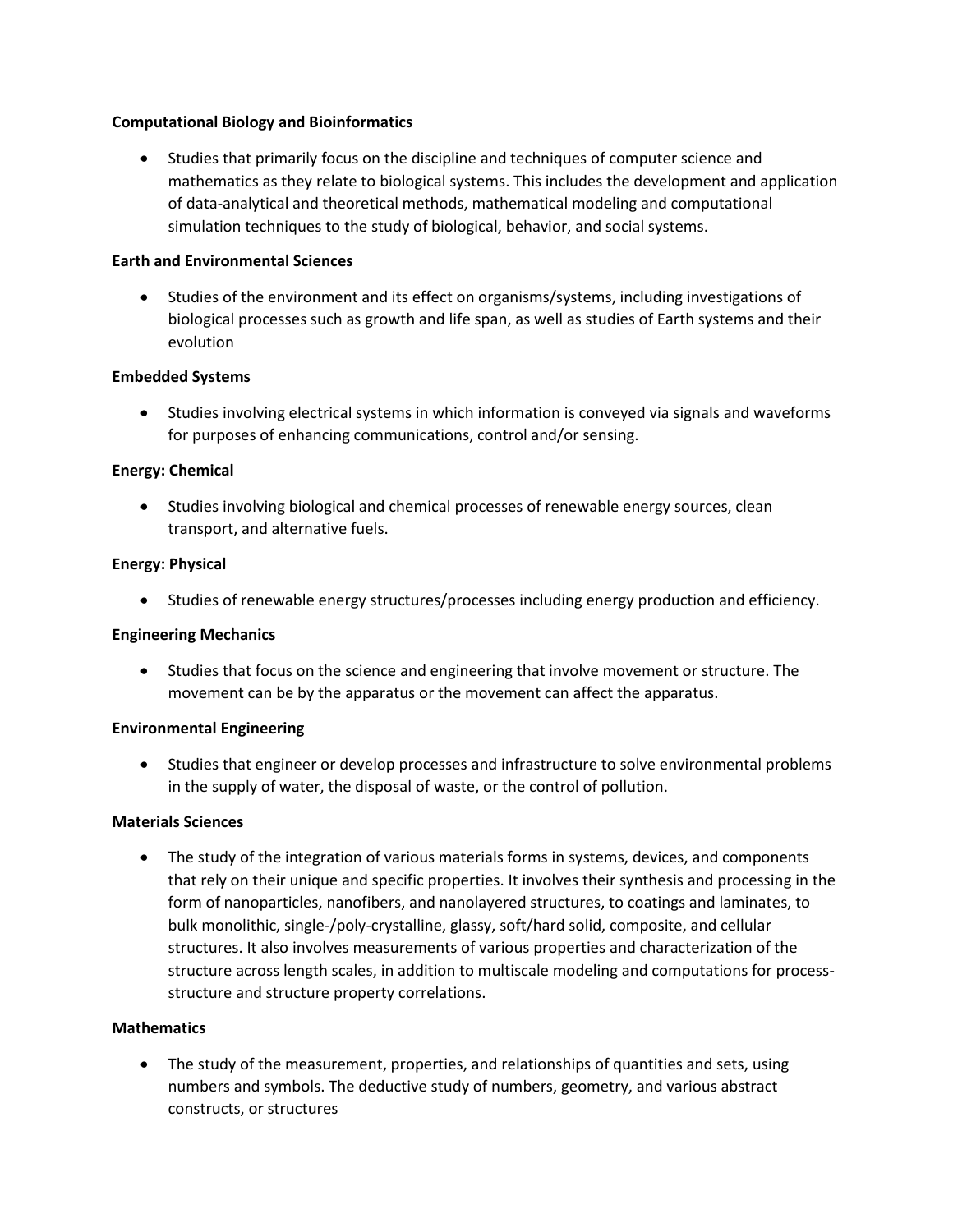### **Computational Biology and Bioinformatics**

 Studies that primarily focus on the discipline and techniques of computer science and mathematics as they relate to biological systems. This includes the development and application of data-analytical and theoretical methods, mathematical modeling and computational simulation techniques to the study of biological, behavior, and social systems.

### **Earth and Environmental Sciences**

 Studies of the environment and its effect on organisms/systems, including investigations of biological processes such as growth and life span, as well as studies of Earth systems and their evolution

## **Embedded Systems**

 Studies involving electrical systems in which information is conveyed via signals and waveforms for purposes of enhancing communications, control and/or sensing.

## **Energy: Chemical**

• Studies involving biological and chemical processes of renewable energy sources, clean transport, and alternative fuels.

### **Energy: Physical**

Studies of renewable energy structures/processes including energy production and efficiency.

### **Engineering Mechanics**

 Studies that focus on the science and engineering that involve movement or structure. The movement can be by the apparatus or the movement can affect the apparatus.

### **Environmental Engineering**

 Studies that engineer or develop processes and infrastructure to solve environmental problems in the supply of water, the disposal of waste, or the control of pollution.

### **Materials Sciences**

• The study of the integration of various materials forms in systems, devices, and components that rely on their unique and specific properties. It involves their synthesis and processing in the form of nanoparticles, nanofibers, and nanolayered structures, to coatings and laminates, to bulk monolithic, single-/poly-crystalline, glassy, soft/hard solid, composite, and cellular structures. It also involves measurements of various properties and characterization of the structure across length scales, in addition to multiscale modeling and computations for processstructure and structure property correlations.

# **Mathematics**

 The study of the measurement, properties, and relationships of quantities and sets, using numbers and symbols. The deductive study of numbers, geometry, and various abstract constructs, or structures